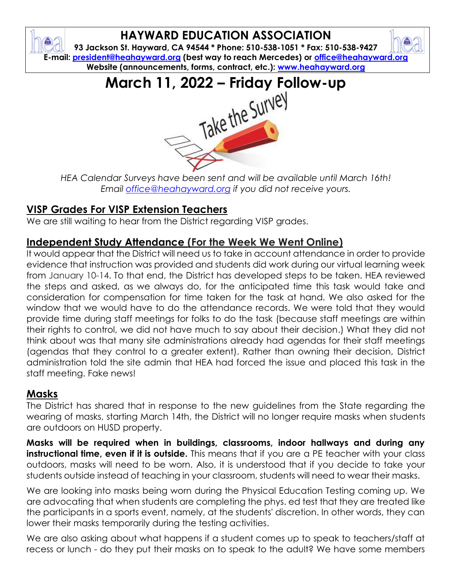# **HAYWARD EDUCATION ASSOCIATION**

**93 Jackson St. Hayward, CA 94544 \* Phone: 510-538-1051 \* Fax: 510-538-9427 E-mail: [president@heahayward.org](mailto:president@heahayward.org) (best way to reach Mercedes) or [office@heahayward.org](mailto:office@heahayward.org) Website (announcements, forms, contract, etc.): [www.heahayward.org](http://www.heahayward.org/)**



*HEA Calendar Surveys have been sent and will be available until March 16th! Email [office@heahayward.org](mailto:office@heahayward.org) if you did not receive yours.*

## **VISP Grades For VISP Extension Teachers**

We are still waiting to hear from the District regarding VISP grades.

## **Independent Study Attendance (For the Week We Went Online)**

It would appear that the District will need us to take in account attendance in order to provide evidence that instruction was provided and students did work during our virtual learning week from January 10-14. To that end, the District has developed steps to be taken. HEA reviewed the steps and asked, as we always do, for the anticipated time this task would take and consideration for compensation for time taken for the task at hand. We also asked for the window that we would have to do the attendance records. We were told that they would provide time during staff meetings for folks to do the task (because staff meetings are within their rights to control, we did not have much to say about their decision.) What they did not think about was that many site administrations already had agendas for their staff meetings (agendas that they control to a greater extent). Rather than owning their decision, District administration told the site admin that HEA had forced the issue and placed this task in the staff meeting. Fake news!

#### **Masks**

₿

The District has shared that in response to the new guidelines from the State regarding the wearing of masks, starting March 14th, the District will no longer require masks when students are outdoors on HUSD property.

**Masks will be required when in buildings, classrooms, indoor hallways and during any instructional time, even if it is outside.** This means that if you are a PE teacher with your class outdoors, masks will need to be worn. Also, it is understood that if you decide to take your students outside instead of teaching in your classroom, students will need to wear their masks.

We are looking into masks being worn during the Physical Education Testing coming up. We are advocating that when students are completing the phys. ed test that they are treated like the participants in a sports event, namely, at the students' discretion. In other words, they can lower their masks temporarily during the testing activities.

We are also asking about what happens if a student comes up to speak to teachers/staff at recess or lunch - do they put their masks on to speak to the adult? We have some members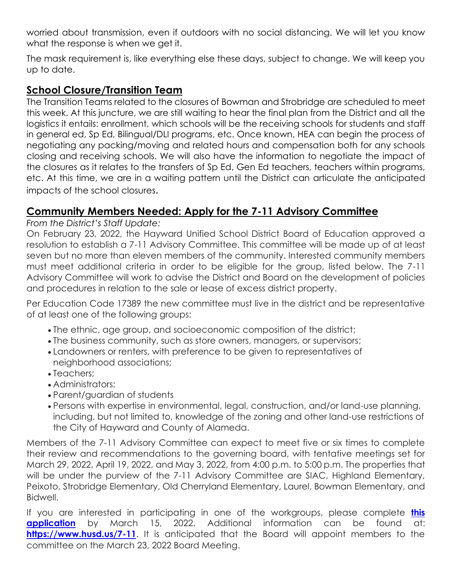worried about transmission, even if outdoors with no social distancing. We will let you know what the response is when we get it.

The mask requirement is, like everything else these days, subject to change. We will keep you up to date.

#### **School Closure/Transition Team**

The Transition Teams related to the closures of Bowman and Strobridge are scheduled to meet this week. At this juncture, we are still waiting to hear the final plan from the District and all the logistics it entails: enrollment, which schools will be the receiving schools for students and staff in general ed, Sp Ed, Bilingual/DLI programs, etc. Once known, HEA can begin the process of negotiating any packing/moving and related hours and compensation both for any schools closing and receiving schools. We will also have the information to negotiate the impact of the closures as it relates to the transfers of Sp Ed, Gen Ed teachers, teachers within programs, etc. At this time, we are in a waiting pattern until the District can articulate the anticipated impacts of the school closures.

#### **Community Members Needed: Apply for the 7-11 Advisory Committee**

*From the District's Staff Update:*

On February 23, 2022, the Hayward Unified School District Board of Education approved a resolution to establish a 7-11 Advisory Committee. This committee will be made up of at least seven but no more than eleven members of the community. Interested community members must meet additional criteria in order to be eligible for the group, listed below. The 7-11 Advisory Committee will work to advise the District and Board on the development of policies and procedures in relation to the sale or lease of excess district property.

Per Education Code 17389 the new committee must live in the district and be representative of at least one of the following groups:

- The ethnic, age group, and socioeconomic composition of the district;
- The business community, such as store owners, managers, or supervisors;
- Landowners or renters, with preference to be given to representatives of neighborhood associations;
- Teachers;
- Administrators;
- Parent/guardian of students
- Persons with expertise in environmental, legal, construction, and/or land-use planning, including, but not limited to, knowledge of the zoning and other land-use restrictions of the City of Hayward and County of Alameda.

Members of the 7-11 Advisory Committee can expect to meet five or six times to complete their review and recommendations to the governing board, with tentative meetings set for March 29, 2022, April 19, 2022, and May 3, 2022, from 4:00 p.m. to 5:00 p.m. The properties that will be under the purview of the 7-11 Advisory Committee are SIAC, Highland Elementary, Peixoto, Strobridge Elementary, Old Cherryland Elementary, Laurel, Bowman Elementary, and Bidwell.

If you are interested in participating in one of the workgroups, please complete **[this](https://docs.google.com/forms/d/e/1FAIpQLSdyOE3r3DaGydj3J3teuykRR1Krsoa1N_OkSkC25qwpKfsJaw/viewform?usp=sf_link)  [application](https://docs.google.com/forms/d/e/1FAIpQLSdyOE3r3DaGydj3J3teuykRR1Krsoa1N_OkSkC25qwpKfsJaw/viewform?usp=sf_link)** by March 15, 2022. Additional information can be found at: <https://www.husd.us/7-11>. It is anticipated that the Board will appoint members to the committee on the March 23, 2022 Board Meeting.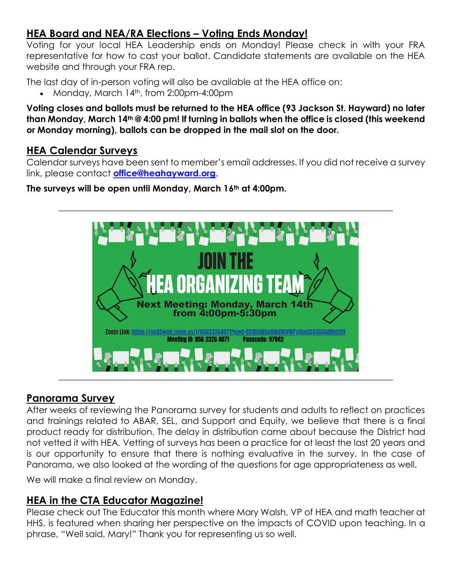#### **HEA Board and NEA/RA Elections – Voting Ends Monday!**

Voting for your local HEA Leadership ends on Monday! Please check in with your FRA representative for how to cast your ballot. Candidate statements are available on the HEA website and through your FRA rep.

The last day of in-person voting will also be available at the HEA office on:

• Monday, March 14<sup>th</sup>, from 2:00pm-4:00pm

**Voting closes and ballots must be returned to the HEA office (93 Jackson St. Hayward) no later than Monday, March 14th @ 4:00 pm! If turning in ballots when the office is closed (this weekend or Monday morning), ballots can be dropped in the mail slot on the door.**

#### **HEA Calendar Surveys**

Calendar surveys have been sent to member's email addresses. If you did not receive a survey link, please contact **[office@heahayward.org](mailto:office@heahayward.org)**.

**The surveys will be open until Monday, March 16th at 4:00pm.**



#### **Panorama Survey**

After weeks of reviewing the Panorama survey for students and adults to reflect on practices and trainings related to ABAR, SEL, and Support and Equity, we believe that there is a final product ready for distribution. The delay in distribution came about because the District had not vetted it with HEA. Vetting of surveys has been a practice for at least the last 20 years and is our opportunity to ensure that there is nothing evaluative in the survey. In the case of Panorama, we also looked at the wording of the questions for age appropriateness as well.

We will make a final review on Monday.

#### **HEA in the CTA Educator Magazine!**

Please check out The Educator this month where Mary Walsh, VP of HEA and math teacher at HHS, is featured when sharing her perspective on the impacts of COVID upon teaching. In a phrase, "Well said, Mary!" Thank you for representing us so well.